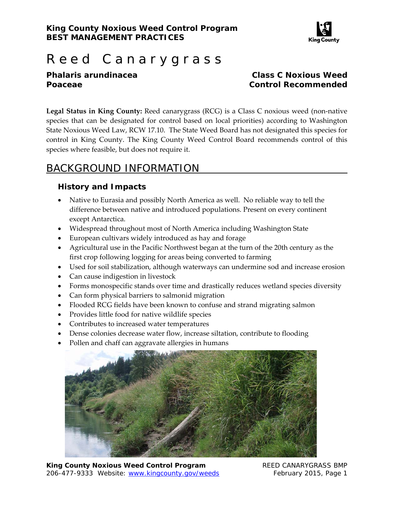

# Reed Canarygrass

### *Phalaris arundinacea* **Class C Noxious Weed Poaceae Control Recommended**

**Legal Status in King County:** Reed canarygrass (RCG) is a Class C noxious weed (non‐native species that can be designated for control based on local priorities) according to Washington State Noxious Weed Law, RCW 17.10. The State Weed Board has not designated this species for control in King County. The King County Weed Control Board recommends control of this species where feasible, but does not require it.

# BACKGROUND INFORMATION

## **History and Impacts**

- Native to Eurasia and possibly North America as well. No reliable way to tell the difference between native and introduced populations. Present on every continent except Antarctica.
- Widespread throughout most of North America including Washington State
- European cultivars widely introduced as hay and forage
- Agricultural use in the Pacific Northwest began at the turn of the 20th century as the first crop following logging for areas being converted to farming
- Used for soil stabilization, although waterways can undermine sod and increase erosion
- Can cause indigestion in livestock
- Forms monospecific stands over time and drastically reduces wetland species diversity
- Can form physical barriers to salmonid migration
- Flooded RCG fields have been known to confuse and strand migrating salmon
- Provides little food for native wildlife species
- Contributes to increased water temperatures
- Dense colonies decrease water flow, increase siltation, contribute to flooding
- Pollen and chaff can aggravate allergies in humans



**King County Noxious Weed Control Program The REED CANARYGRASS BMP** 206-477-9333 Website: www.kingcounty.gov/weeds February 2015, Page 1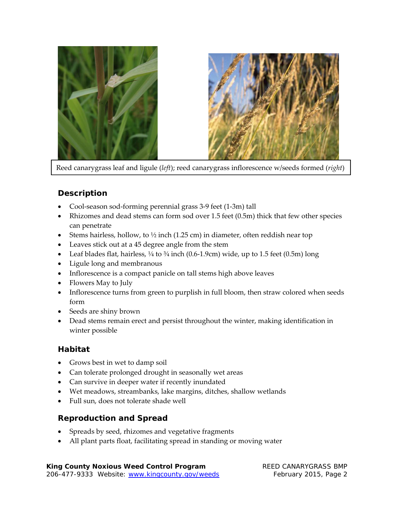

Reed canarygrass leaf and ligule (*left*); reed canarygrass inflorescence w/seeds formed (*right*)

## **Description**

- Cool-season sod-forming perennial grass 3-9 feet (1-3m) tall
- Rhizomes and dead stems can form sod over 1.5 feet (0.5m) thick that few other species can penetrate
- Stems hairless, hollow, to  $\frac{1}{2}$  inch (1.25 cm) in diameter, often reddish near top
- Leaves stick out at a 45 degree angle from the stem
- Leaf blades flat, hairless,  $\frac{1}{4}$  to  $\frac{3}{4}$  inch (0.6-1.9cm) wide, up to 1.5 feet (0.5m) long
- Ligule long and membranous
- Inflorescence is a compact panicle on tall stems high above leaves
- Flowers May to July
- Inflorescence turns from green to purplish in full bloom, then straw colored when seeds form
- Seeds are shiny brown
- Dead stems remain erect and persist throughout the winter, making identification in winter possible

#### **Habitat**

- Grows best in wet to damp soil
- Can tolerate prolonged drought in seasonally wet areas
- Can survive in deeper water if recently inundated
- Wet meadows, streambanks, lake margins, ditches, shallow wetlands
- Full sun, does not tolerate shade well

#### **Reproduction and Spread**

- Spreads by seed, rhizomes and vegetative fragments
- All plant parts float, facilitating spread in standing or moving water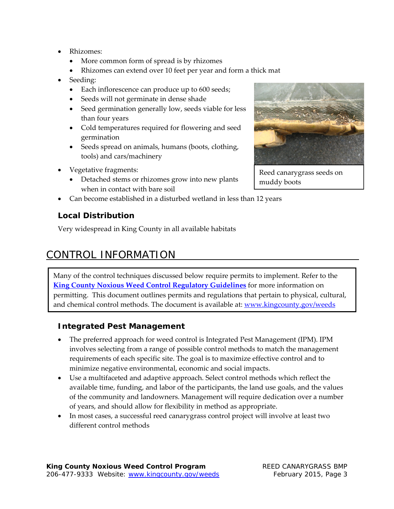- Rhizomes:
	- More common form of spread is by rhizomes
	- Rhizomes can extend over 10 feet per year and form a thick mat
- Seeding:
	- Each inflorescence can produce up to 600 seeds;
	- Seeds will not germinate in dense shade
	- Seed germination generally low, seeds viable for less than four years
	- Cold temperatures required for flowering and seed germination
	- Seeds spread on animals, humans (boots, clothing, tools) and cars/machinery
- Vegetative fragments:
	- Detached stems or rhizomes grow into new plants when in contact with bare soil
- Can become established in a disturbed wetland in less than 12 years

## **Local Distribution**

Very widespread in King County in all available habitats

# CONTROL INFORMATION

 Many of the control techniques discussed below require permits to implement. Refer to the **King County Noxious Weed Control Regulatory Guidelines** for more information on permitting. This document outlines permits and regulations that pertain to physical, cultural, and chemical control methods. The document is available at: www.kingcounty.gov/weeds

#### **Integrated Pest Management**

- The preferred approach for weed control is Integrated Pest Management (IPM). IPM involves selecting from a range of possible control methods to match the management requirements of each specific site. The goal is to maximize effective control and to minimize negative environmental, economic and social impacts.
- Use a multifaceted and adaptive approach. Select control methods which reflect the available time, funding, and labor of the participants, the land use goals, and the values of the community and landowners. Management will require dedication over a number of years, and should allow for flexibility in method as appropriate.
- In most cases, a successful reed canarygrass control project will involve at least two different control methods



Reed canarygrass seeds on muddy boots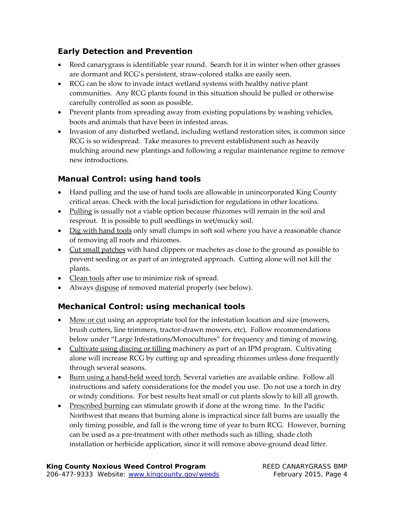## **Early Detection and Prevention**

- Reed canarygrass is identifiable year round. Search for it in winter when other grasses are dormant and RCG's persistent, straw‐colored stalks are easily seen.
- RCG can be slow to invade intact wetland systems with healthy native plant communities. Any RCG plants found in this situation should be pulled or otherwise carefully controlled as soon as possible.
- Prevent plants from spreading away from existing populations by washing vehicles, boots and animals that have been in infested areas.
- Invasion of any disturbed wetland, including wetland restoration sites, is common since RCG is so widespread. Take measures to prevent establishment such as heavily mulching around new plantings and following a regular maintenance regime to remove new introductions.

## **Manual Control: using hand tools**

- Hand pulling and the use of hand tools are allowable in unincorporated King County critical areas. Check with the local jurisdiction for regulations in other locations.
- Pulling is usually not a viable option because rhizomes will remain in the soil and resprout. It is possible to pull seedlings in wet/mucky soil.
- Dig with hand tools only small clumps in soft soil where you have a reasonable chance of removing all roots and rhizomes.
- Cut small patches with hand clippers or machetes as close to the ground as possible to prevent seeding or as part of an integrated approach. Cutting alone will not kill the plants.
- Clean tools after use to minimize risk of spread.
- Always dispose of removed material properly (see below).

## **Mechanical Control: using mechanical tools**

- Mow or cut using an appropriate tool for the infestation location and size (mowers, brush cutters, line trimmers, tractor‐drawn mowers, etc). Follow recommendations below under "Large Infestations/Monocultures" for frequency and timing of mowing.
- Cultivate using discing or tilling machinery as part of an IPM program. Cultivating alone will increase RCG by cutting up and spreading rhizomes unless done frequently through several seasons.
- Burn using a hand‐held weed torch. Several varieties are available online. Follow all instructions and safety considerations for the model you use. Do not use a torch in dry or windy conditions. For best results heat small or cut plants slowly to kill all growth.
- Prescribed burning can stimulate growth if done at the wrong time. In the Pacific Northwest that means that burning alone is impractical since fall burns are usually the only timing possible, and fall is the wrong time of year to burn RCG. However, burning can be used as a pre‐treatment with other methods such as tilling, shade cloth installation or herbicide application, since it will remove above‐ground dead litter.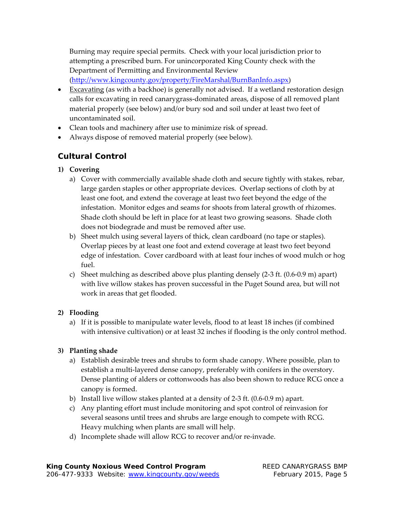Burning may require special permits. Check with your local jurisdiction prior to attempting a prescribed burn. For unincorporated King County check with the Department of Permitting and Environmental Review

(http://www.kingcounty.gov/property/FireMarshal/BurnBanInfo.aspx)

- Excavating (as with a backhoe) is generally not advised. If a wetland restoration design calls for excavating in reed canarygrass‐dominated areas, dispose of all removed plant material properly (see below) and/or bury sod and soil under at least two feet of uncontaminated soil.
- Clean tools and machinery after use to minimize risk of spread.
- Always dispose of removed material properly (see below).

## **Cultural Control**

- **1) Covering**
	- a) Cover with commercially available shade cloth and secure tightly with stakes, rebar, large garden staples or other appropriate devices. Overlap sections of cloth by at least one foot, and extend the coverage at least two feet beyond the edge of the infestation. Monitor edges and seams for shoots from lateral growth of rhizomes. Shade cloth should be left in place for at least two growing seasons. Shade cloth does not biodegrade and must be removed after use.
	- b) Sheet mulch using several layers of thick, clean cardboard (no tape or staples). Overlap pieces by at least one foot and extend coverage at least two feet beyond edge of infestation. Cover cardboard with at least four inches of wood mulch or hog fuel.
	- c) Sheet mulching as described above plus planting densely (2‐3 ft. (0.6‐0.9 m) apart) with live willow stakes has proven successful in the Puget Sound area, but will not work in areas that get flooded.

#### **2) Flooding**

a) If it is possible to manipulate water levels, flood to at least 18 inches (if combined with intensive cultivation) or at least 32 inches if flooding is the only control method.

#### **3) Planting shade**

- a) Establish desirable trees and shrubs to form shade canopy. Where possible, plan to establish a multi-layered dense canopy, preferably with conifers in the overstory. Dense planting of alders or cottonwoods has also been shown to reduce RCG once a canopy is formed.
- b) Install live willow stakes planted at a density of 2‐3 ft. (0.6‐0.9 m) apart.
- c) Any planting effort must include monitoring and spot control of reinvasion for several seasons until trees and shrubs are large enough to compete with RCG. Heavy mulching when plants are small will help.
- d) Incomplete shade will allow RCG to recover and/or re‐invade.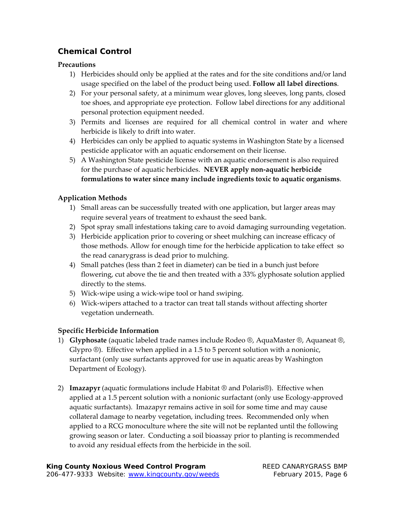## **Chemical Control**

#### **Precautions**

- 1) Herbicides should only be applied at the rates and for the site conditions and/or land usage specified on the label of the product being used. **Follow all label directions**.
- 2) For your personal safety, at a minimum wear gloves, long sleeves, long pants, closed toe shoes, and appropriate eye protection. Follow label directions for any additional personal protection equipment needed.
- 3) Permits and licenses are required for all chemical control in water and where herbicide is likely to drift into water.
- 4) Herbicides can only be applied to aquatic systems in Washington State by a licensed pesticide applicator with an aquatic endorsement on their license.
- 5) A Washington State pesticide license with an aquatic endorsement is also required for the purchase of aquatic herbicides. **NEVER apply non‐aquatic herbicide formulations to water since many include ingredients toxic to aquatic organisms**.

## **Application Methods**

- 1) Small areas can be successfully treated with one application, but larger areas may require several years of treatment to exhaust the seed bank.
- 2) Spot spray small infestations taking care to avoid damaging surrounding vegetation.
- 3) Herbicide application prior to covering or sheet mulching can increase efficacy of those methods. Allow for enough time for the herbicide application to take effect so the read canarygrass is dead prior to mulching.
- 4) Small patches (less than 2 feet in diameter) can be tied in a bunch just before flowering, cut above the tie and then treated with a 33% glyphosate solution applied directly to the stems.
- 5) Wick‐wipe using a wick‐wipe tool or hand swiping.
- 6) Wick‐wipers attached to a tractor can treat tall stands without affecting shorter vegetation underneath.

#### **Specific Herbicide Information**

- 1) **Glyphosate** (aquatic labeled trade names include Rodeo ®, AquaMaster ®, Aquaneat ®, Glypro ®). Effective when applied in a 1.5 to 5 percent solution with a nonionic, surfactant (only use surfactants approved for use in aquatic areas by Washington Department of Ecology).
- 2) **Imazapyr** (aquatic formulations include Habitat ® and Polaris®). Effective when applied at a 1.5 percent solution with a nonionic surfactant (only use Ecology‐approved aquatic surfactants). Imazapyr remains active in soil for some time and may cause collateral damage to nearby vegetation, including trees. Recommended only when applied to a RCG monoculture where the site will not be replanted until the following growing season or later. Conducting a soil bioassay prior to planting is recommended to avoid any residual effects from the herbicide in the soil.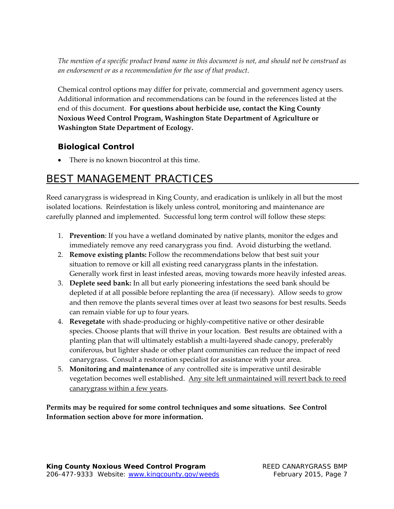The mention of a specific product brand name in this document is not, and should not be construed as *an endorsement or as a recommendation for the use of that product*.

Chemical control options may differ for private, commercial and government agency users. Additional information and recommendations can be found in the references listed at the end of this document. **For questions about herbicide use, contact the King County Noxious Weed Control Program, Washington State Department of Agriculture or Washington State Department of Ecology.**

## **Biological Control**

• There is no known biocontrol at this time.

# BEST MANAGEMENT PRACTICES

Reed canarygrass is widespread in King County, and eradication is unlikely in all but the most isolated locations. Reinfestation is likely unless control, monitoring and maintenance are carefully planned and implemented. Successful long term control will follow these steps:

- 1. **Prevention**: If you have a wetland dominated by native plants, monitor the edges and immediately remove any reed canarygrass you find. Avoid disturbing the wetland.
- 2. **Remove existing plants:** Follow the recommendations below that best suit your situation to remove or kill all existing reed canarygrass plants in the infestation. Generally work first in least infested areas, moving towards more heavily infested areas.
- 3. **Deplete seed bank:** In all but early pioneering infestations the seed bank should be depleted if at all possible before replanting the area (if necessary). Allow seeds to grow and then remove the plants several times over at least two seasons for best results. Seeds can remain viable for up to four years.
- 4. **Revegetate** with shade‐producing or highly‐competitive native or other desirable species. Choose plants that will thrive in your location. Best results are obtained with a planting plan that will ultimately establish a multi‐layered shade canopy, preferably coniferous, but lighter shade or other plant communities can reduce the impact of reed canarygrass. Consult a restoration specialist for assistance with your area.
- 5. **Monitoring and maintenance** of any controlled site is imperative until desirable vegetation becomes well established. Any site left unmaintained will revert back to reed canarygrass within a few years.

**Permits may be required for some control techniques and some situations. See Control Information section above for more information.**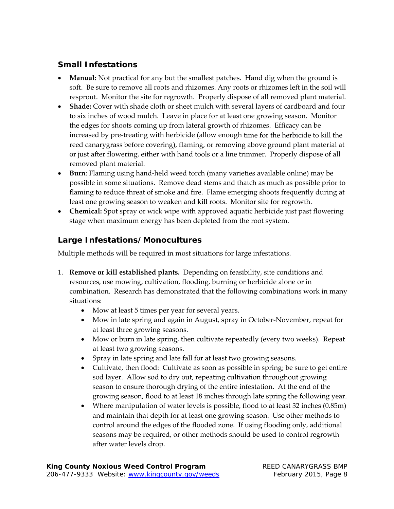## **Small Infestations**

- Manual: Not practical for any but the smallest patches. Hand dig when the ground is soft. Be sure to remove all roots and rhizomes. Any roots or rhizomes left in the soil will resprout. Monitor the site for regrowth. Properly dispose of all removed plant material.
- **Shade:** Cover with shade cloth or sheet mulch with several layers of cardboard and four to six inches of wood mulch. Leave in place for at least one growing season. Monitor the edges for shoots coming up from lateral growth of rhizomes. Efficacy can be increased by pre‐treating with herbicide (allow enough time for the herbicide to kill the reed canarygrass before covering), flaming, or removing above ground plant material at or just after flowering, either with hand tools or a line trimmer. Properly dispose of all removed plant material.
- **Burn**: Flaming using hand‐held weed torch (many varieties available online) may be possible in some situations. Remove dead stems and thatch as much as possible prior to flaming to reduce threat of smoke and fire. Flame emerging shoots frequently during at least one growing season to weaken and kill roots. Monitor site for regrowth.
- **Chemical:** Spot spray or wick wipe with approved aquatic herbicide just past flowering stage when maximum energy has been depleted from the root system.

## **Large Infestations/Monocultures**

Multiple methods will be required in most situations for large infestations.

- 1. **Remove or kill established plants.** Depending on feasibility, site conditions and resources, use mowing, cultivation, flooding, burning or herbicide alone or in combination. Research has demonstrated that the following combinations work in many situations:
	- Mow at least 5 times per year for several years.
	- Mow in late spring and again in August, spray in October‐November, repeat for at least three growing seasons.
	- Mow or burn in late spring, then cultivate repeatedly (every two weeks). Repeat at least two growing seasons.
	- Spray in late spring and late fall for at least two growing seasons.
	- Cultivate, then flood: Cultivate as soon as possible in spring; be sure to get entire sod layer. Allow sod to dry out, repeating cultivation throughout growing season to ensure thorough drying of the entire infestation. At the end of the growing season, flood to at least 18 inches through late spring the following year.
	- Where manipulation of water levels is possible, flood to at least 32 inches (0.85m) and maintain that depth for at least one growing season. Use other methods to control around the edges of the flooded zone. If using flooding only, additional seasons may be required, or other methods should be used to control regrowth after water levels drop.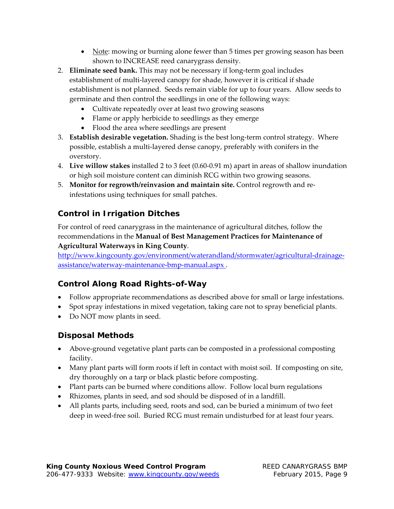- Note: mowing or burning alone fewer than 5 times per growing season has been shown to INCREASE reed canarygrass density.
- 2. **Eliminate seed bank.** This may not be necessary if long‐term goal includes establishment of multi-layered canopy for shade, however it is critical if shade establishment is not planned. Seeds remain viable for up to four years. Allow seeds to germinate and then control the seedlings in one of the following ways:
	- Cultivate repeatedly over at least two growing seasons
	- Flame or apply herbicide to seedlings as they emerge
	- Flood the area where seedlings are present
- 3. **Establish desirable vegetation.** Shading is the best long‐term control strategy. Where possible, establish a multi‐layered dense canopy, preferably with conifers in the overstory.
- 4. **Live willow stakes** installed 2 to 3 feet (0.60‐0.91 m) apart in areas of shallow inundation or high soil moisture content can diminish RCG within two growing seasons.
- 5. **Monitor for regrowth/reinvasion and maintain site.** Control regrowth and re‐ infestations using techniques for small patches.

## **Control in Irrigation Ditches**

For control of reed canarygrass in the maintenance of agricultural ditches, follow the recommendations in the **Manual of Best Management Practices for Maintenance of Agricultural Waterways in King County**.

http://www.kingcounty.gov/environment/waterandland/stormwater/agricultural-drainageassistance/waterway‐maintenance‐bmp‐manual.aspx .

## **Control Along Road Rights-of-Way**

- Follow appropriate recommendations as described above for small or large infestations.
- Spot spray infestations in mixed vegetation, taking care not to spray beneficial plants.
- Do NOT mow plants in seed.

## **Disposal Methods**

- Above‐ground vegetative plant parts can be composted in a professional composting facility.
- Many plant parts will form roots if left in contact with moist soil. If composting on site, dry thoroughly on a tarp or black plastic before composting.
- Plant parts can be burned where conditions allow. Follow local burn regulations
- Rhizomes, plants in seed, and sod should be disposed of in a landfill.
- All plants parts, including seed, roots and sod, can be buried a minimum of two feet deep in weed‐free soil. Buried RCG must remain undisturbed for at least four years.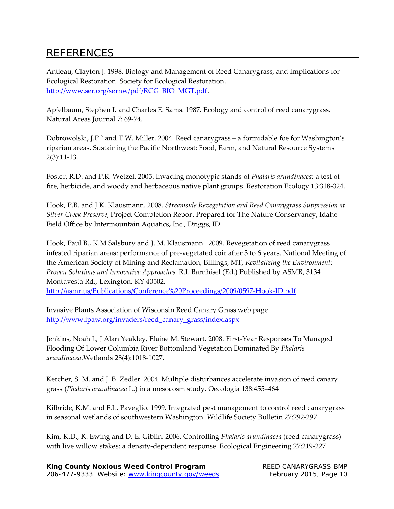# REFERENCES

Antieau, Clayton J. 1998. Biology and Management of Reed Canarygrass, and Implications for Ecological Restoration. Society for Ecological Restoration. http://www.ser.org/sernw/pdf/RCG\_BIO\_MGT.pdf.

Apfelbaum, Stephen I. and Charles E. Sams. 1987. Ecology and control of reed canarygrass. Natural Areas Journal 7: 69‐74.

Dobrowolski, J.P.` and T.W. Miller. 2004. Reed canarygrass – a formidable foe for Washington's riparian areas. Sustaining the Pacific Northwest: Food, Farm, and Natural Resource Systems 2(3):11‐13.

Foster, R.D. and P.R. Wetzel. 2005. Invading monotypic stands of *Phalaris arundinacea*: a test of fire, herbicide, and woody and herbaceous native plant groups. Restoration Ecology 13:318‐324.

Hook, P.B. and J.K. Klausmann. 2008. *Streamside Revegetation and Reed Canarygrass Suppression at Silver Creek Preserve*, Project Completion Report Prepared for The Nature Conservancy, Idaho Field Office by Intermountain Aquatics, Inc., Driggs, ID

Hook, Paul B., K.M Salsbury and J. M. Klausmann. 2009. Revegetation of reed canarygrass infested riparian areas: performance of pre‐vegetated coir after 3 to 6 years. National Meeting of the American Society of Mining and Reclamation, Billings, MT, *Revitalizing the Environment: Proven Solutions and Innovative Approaches.* R.I. Barnhisel (Ed.) Published by ASMR, 3134 Montavesta Rd., Lexington, KY 40502.

http://asmr.us/Publications/Conference%20Proceedings/2009/0597‐Hook‐ID.pdf.

Invasive Plants Association of Wisconsin Reed Canary Grass web page http://www.ipaw.org/invaders/reed\_canary\_grass/index.aspx

Jenkins, Noah J., J Alan Yeakley, Elaine M. Stewart. 2008. First‐Year Responses To Managed Flooding Of Lower Columbia River Bottomland Vegetation Dominated By *Phalaris arundinacea.*Wetlands 28(4):1018‐1027.

Kercher, S. M. and J. B. Zedler. 2004. Multiple disturbances accelerate invasion of reed canary grass (*Phalaris arundinacea* L.) in a mesocosm study. Oecologia 138:455–464

Kilbride, K.M. and F.L. Paveglio. 1999. Integrated pest management to control reed canarygrass in seasonal wetlands of southwestern Washington. Wildlife Society Bulletin 27:292‐297.

Kim, K.D., K. Ewing and D. E. Giblin. 2006. Controlling *Phalaris arundinacea* (reed canarygrass) with live willow stakes: a density‐dependent response. Ecological Engineering 27:219‐227